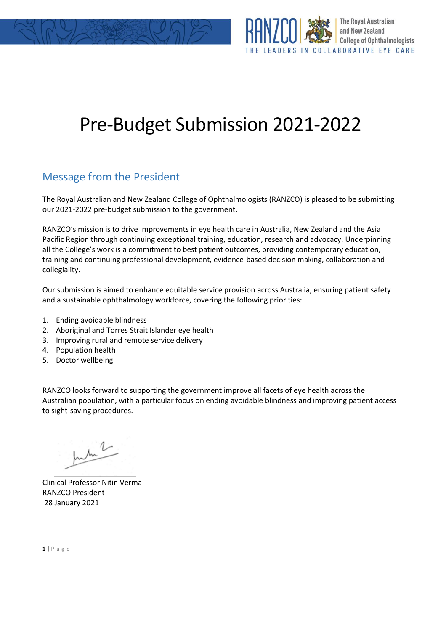



# Pre-Budget Submission 2021-2022

## Message from the President

The Royal Australian and New Zealand College of Ophthalmologists (RANZCO) is pleased to be submitting our 2021-2022 pre-budget submission to the government.

RANZCO's mission is to drive improvements in eye health care in Australia, New Zealand and the Asia Pacific Region through continuing exceptional training, education, research and advocacy. Underpinning all the College's work is a commitment to best patient outcomes, providing contemporary education, training and continuing professional development, evidence-based decision making, collaboration and collegiality.

Our submission is aimed to enhance equitable service provision across Australia, ensuring patient safety and a sustainable ophthalmology workforce, covering the following priorities:

- 1. Ending avoidable blindness
- 2. Aboriginal and Torres Strait Islander eye health
- 3. Improving rural and remote service delivery
- 4. Population health
- 5. Doctor wellbeing

RANZCO looks forward to supporting the government improve all facets of eye health across the Australian population, with a particular focus on ending avoidable blindness and improving patient access to sight-saving procedures.

July 2

Clinical Professor Nitin Verma RANZCO President 28 January 2021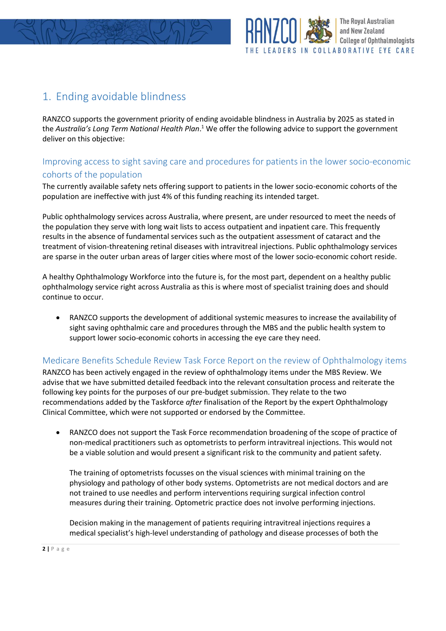

## 1. Ending avoidable blindness

RANZCO supports the government priority of ending avoidable blindness in Australia by 2025 as stated in the *Australia's Long Term National Health Plan*. <sup>1</sup> We offer the following advice to support the government deliver on this objective:

#### Improving access to sight saving care and procedures for patients in the lower socio-economic cohorts of the population

The currently available safety nets offering support to patients in the lower socio-economic cohorts of the population are ineffective with just 4% of this funding reaching its intended target.

Public ophthalmology services across Australia, where present, are under resourced to meet the needs of the population they serve with long wait lists to access outpatient and inpatient care. This frequently results in the absence of fundamental services such as the outpatient assessment of cataract and the treatment of vision-threatening retinal diseases with intravitreal injections. Public ophthalmology services are sparse in the outer urban areas of larger cities where most of the lower socio-economic cohort reside.

A healthy Ophthalmology Workforce into the future is, for the most part, dependent on a healthy public ophthalmology service right across Australia as this is where most of specialist training does and should continue to occur.

• RANZCO supports the development of additional systemic measures to increase the availability of sight saving ophthalmic care and procedures through the MBS and the public health system to support lower socio-economic cohorts in accessing the eye care they need.

#### Medicare Benefits Schedule Review Task Force Report on the review of Ophthalmology items

RANZCO has been actively engaged in the review of ophthalmology items under the MBS Review. We advise that we have submitted detailed feedback into the relevant consultation process and reiterate the following key points for the purposes of our pre-budget submission. They relate to the two recommendations added by the Taskforce *after* finalisation of the Report by the expert Ophthalmology Clinical Committee, which were not supported or endorsed by the Committee.

• RANZCO does not support the Task Force recommendation broadening of the scope of practice of non-medical practitioners such as optometrists to perform intravitreal injections. This would not be a viable solution and would present a significant risk to the community and patient safety.

The training of optometrists focusses on the visual sciences with minimal training on the physiology and pathology of other body systems. Optometrists are not medical doctors and are not trained to use needles and perform interventions requiring surgical infection control measures during their training. Optometric practice does not involve performing injections.

Decision making in the management of patients requiring intravitreal injections requires a medical specialist's high-level understanding of pathology and disease processes of both the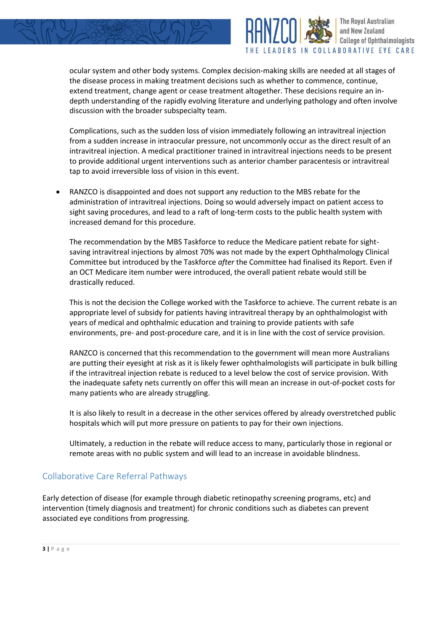

ocular system and other body systems. Complex decision-making skills are needed at all stages of the disease process in making treatment decisions such as whether to commence, continue, extend treatment, change agent or cease treatment altogether. These decisions require an indepth understanding of the rapidly evolving literature and underlying pathology and often involve discussion with the broader subspecialty team.

**The Royal Australian** and New Zealand

LEADERS IN COLLABORATIVE EYE CARE

**College of Ophthalmologists** 

Complications, such as the sudden loss of vision immediately following an intravitreal injection from a sudden increase in intraocular pressure, not uncommonly occur as the direct result of an intravitreal injection. A medical practitioner trained in intravitreal injections needs to be present to provide additional urgent interventions such as anterior chamber paracentesis or intravitreal tap to avoid irreversible loss of vision in this event.

RANZCO is disappointed and does not support any reduction to the MBS rebate for the administration of intravitreal injections. Doing so would adversely impact on patient access to sight saving procedures, and lead to a raft of long-term costs to the public health system with increased demand for this procedure.

The recommendation by the MBS Taskforce to reduce the Medicare patient rebate for sightsaving intravitreal injections by almost 70% was not made by the expert Ophthalmology Clinical Committee but introduced by the Taskforce *after* the Committee had finalised its Report. Even if an OCT Medicare item number were introduced, the overall patient rebate would still be drastically reduced.

This is not the decision the College worked with the Taskforce to achieve. The current rebate is an appropriate level of subsidy for patients having intravitreal therapy by an ophthalmologist with years of medical and ophthalmic education and training to provide patients with safe environments, pre- and post-procedure care, and it is in line with the cost of service provision.

RANZCO is concerned that this recommendation to the government will mean more Australians are putting their eyesight at risk as it is likely fewer ophthalmologists will participate in bulk billing if the intravitreal injection rebate is reduced to a level below the cost of service provision. With the inadequate safety nets currently on offer this will mean an increase in out-of-pocket costs for many patients who are already struggling.

It is also likely to result in a decrease in the other services offered by already overstretched public hospitals which will put more pressure on patients to pay for their own injections.

Ultimately, a reduction in the rebate will reduce access to many, particularly those in regional or remote areas with no public system and will lead to an increase in avoidable blindness.

#### Collaborative Care Referral Pathways

Early detection of disease (for example through diabetic retinopathy screening programs, etc) and intervention (timely diagnosis and treatment) for chronic conditions such as diabetes can prevent associated eye conditions from progressing.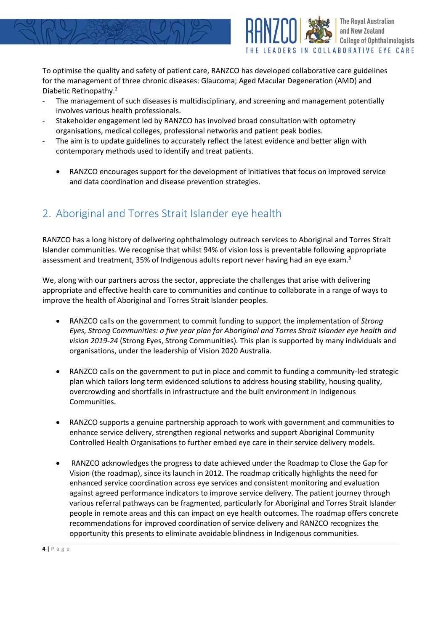

To optimise the quality and safety of patient care, RANZCO has developed collaborative care guidelines for the management of three chronic diseases: Glaucoma; Aged Macular Degeneration (AMD) and Diabetic Retinopathy.<sup>2</sup>

- The management of such diseases is multidisciplinary, and screening and management potentially involves various health professionals.
- Stakeholder engagement led by RANZCO has involved broad consultation with optometry organisations, medical colleges, professional networks and patient peak bodies.
- The aim is to update guidelines to accurately reflect the latest evidence and better align with contemporary methods used to identify and treat patients.
	- RANZCO encourages support for the development of initiatives that focus on improved service and data coordination and disease prevention strategies.

# 2. Aboriginal and Torres Strait Islander eye health

RANZCO has a long history of delivering ophthalmology outreach services to Aboriginal and Torres Strait Islander communities. We recognise that whilst 94% of vision loss is preventable following appropriate assessment and treatment, 35% of Indigenous adults report never having had an eye exam. $3$ 

We, along with our partners across the sector, appreciate the challenges that arise with delivering appropriate and effective health care to communities and continue to collaborate in a range of ways to improve the health of Aboriginal and Torres Strait Islander peoples.

- RANZCO calls on the government to commit funding to support the implementation of *Strong Eyes, Strong Communities: a five year plan for Aboriginal and Torres Strait Islander eye health and vision 2019-24* (Strong Eyes, Strong Communities)*.* This plan is supported by many individuals and organisations, under the leadership of Vision 2020 Australia.
- RANZCO calls on the government to put in place and commit to funding a community-led strategic plan which tailors long term evidenced solutions to address housing stability, housing quality, overcrowding and shortfalls in infrastructure and the built environment in Indigenous Communities.
- RANZCO supports a genuine partnership approach to work with government and communities to enhance service delivery, strengthen regional networks and support Aboriginal Community Controlled Health Organisations to further embed eye care in their service delivery models.
- RANZCO acknowledges the progress to date achieved under the Roadmap to Close the Gap for Vision (the roadmap), since its launch in 2012. The roadmap critically highlights the need for enhanced service coordination across eye services and consistent monitoring and evaluation against agreed performance indicators to improve service delivery. The patient journey through various referral pathways can be fragmented, particularly for Aboriginal and Torres Strait Islander people in remote areas and this can impact on eye health outcomes. The roadmap offers concrete recommendations for improved coordination of service delivery and RANZCO recognizes the opportunity this presents to eliminate avoidable blindness in Indigenous communities.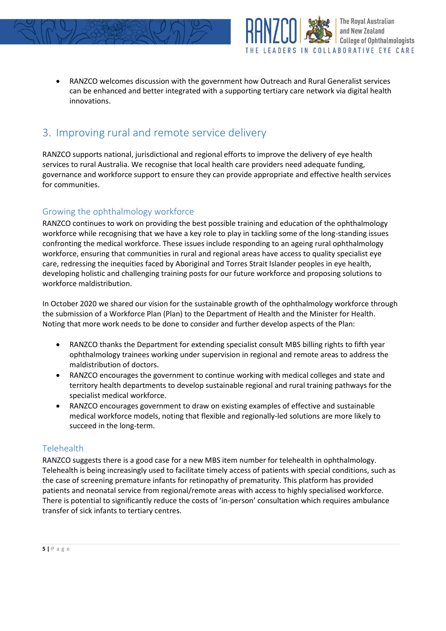



**The Royal Australian** and New Zealand

**College of Ophthalmologists** 

## 3. Improving rural and remote service delivery

RANZCO supports national, jurisdictional and regional efforts to improve the delivery of eye health services to rural Australia. We recognise that local health care providers need adequate funding, governance and workforce support to ensure they can provide appropriate and effective health services for communities.

#### Growing the ophthalmology workforce

RANZCO continues to work on providing the best possible training and education of the ophthalmology workforce while recognising that we have a key role to play in tackling some of the long-standing issues confronting the medical workforce. These issues include responding to an ageing rural ophthalmology workforce, ensuring that communities in rural and regional areas have access to quality specialist eye care, redressing the inequities faced by Aboriginal and Torres Strait Islander peoples in eye health, developing holistic and challenging training posts for our future workforce and proposing solutions to workforce maldistribution.

In October 2020 we shared our vision for the sustainable growth of the ophthalmology workforce through the submission of a Workforce Plan (Plan) to the Department of Health and the Minister for Health. Noting that more work needs to be done to consider and further develop aspects of the Plan:

- RANZCO thanks the Department for extending specialist consult MBS billing rights to fifth year ophthalmology trainees working under supervision in regional and remote areas to address the maldistribution of doctors.
- RANZCO encourages the government to continue working with medical colleges and state and territory health departments to develop sustainable regional and rural training pathways for the specialist medical workforce.
- RANZCO encourages government to draw on existing examples of effective and sustainable medical workforce models, noting that flexible and regionally-led solutions are more likely to succeed in the long-term.

#### **Telehealth**

RANZCO suggests there is a good case for a new MBS item number for telehealth in ophthalmology. Telehealth is being increasingly used to facilitate timely access of patients with special conditions, such as the case of screening premature infants for retinopathy of prematurity. This platform has provided patients and neonatal service from regional/remote areas with access to highly specialised workforce. There is potential to significantly reduce the costs of 'in-person' consultation which requires ambulance transfer of sick infants to tertiary centres.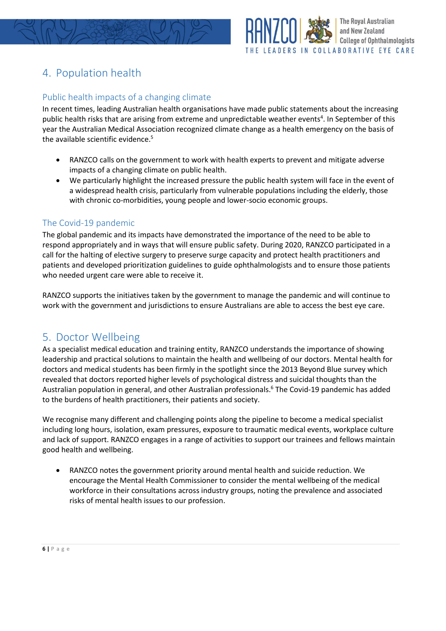



# 4. Population health

#### Public health impacts of a changing climate

In recent times, leading Australian health organisations have made public statements about the increasing public health risks that are arising from extreme and unpredictable weather events<sup>4</sup>. In September of this year the Australian Medical Association recognized climate change as a health emergency on the basis of the available scientific evidence. 5

- RANZCO calls on the government to work with health experts to prevent and mitigate adverse impacts of a changing climate on public health.
- We particularly highlight the increased pressure the public health system will face in the event of a widespread health crisis, particularly from vulnerable populations including the elderly, those with chronic co-morbidities, young people and lower-socio economic groups.

#### The Covid-19 pandemic

The global pandemic and its impacts have demonstrated the importance of the need to be able to respond appropriately and in ways that will ensure public safety. During 2020, RANZCO participated in a call for the halting of elective surgery to preserve surge capacity and protect health practitioners and patients and developed prioritization guidelines to guide ophthalmologists and to ensure those patients who needed urgent care were able to receive it.

RANZCO supports the initiatives taken by the government to manage the pandemic and will continue to work with the government and jurisdictions to ensure Australians are able to access the best eye care.

### 5. Doctor Wellbeing

As a specialist medical education and training entity, RANZCO understands the importance of showing leadership and practical solutions to maintain the health and wellbeing of our doctors. Mental health for doctors and medical students has been firmly in the spotlight since the 2013 Beyond Blue survey which revealed that doctors reported higher levels of psychological distress and suicidal thoughts than the Australian population in general, and other Australian professionals.<sup>6</sup> The Covid-19 pandemic has added to the burdens of health practitioners, their patients and society.

We recognise many different and challenging points along the pipeline to become a medical specialist including long hours, isolation, exam pressures, exposure to traumatic medical events, workplace culture and lack of support. RANZCO engages in a range of activities to support our trainees and fellows maintain good health and wellbeing.

• RANZCO notes the government priority around mental health and suicide reduction. We encourage the Mental Health Commissioner to consider the mental wellbeing of the medical workforce in their consultations across industry groups, noting the prevalence and associated risks of mental health issues to our profession.